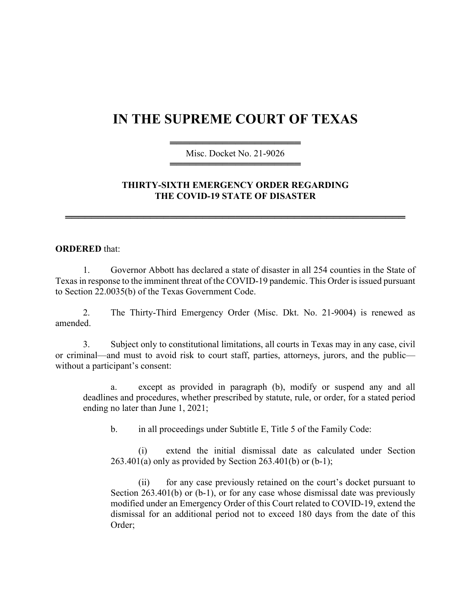## **IN THE SUPREME COURT OF TEXAS**

════════════════════ Misc. Docket No. 21-9026 ════════════════════

## **THIRTY-SIXTH EMERGENCY ORDER REGARDING THE COVID-19 STATE OF DISASTER**

════════════════════════════════════════════════════

## **ORDERED** that:

1. Governor Abbott has declared a state of disaster in all 254 counties in the State of Texas in response to the imminent threat of the COVID-19 pandemic. This Order is issued pursuant to Section 22.0035(b) of the Texas Government Code.

2. The Thirty-Third Emergency Order (Misc. Dkt. No. 21-9004) is renewed as amended.

3. Subject only to constitutional limitations, all courts in Texas may in any case, civil or criminal—and must to avoid risk to court staff, parties, attorneys, jurors, and the public without a participant's consent:

a. except as provided in paragraph (b), modify or suspend any and all deadlines and procedures, whether prescribed by statute, rule, or order, for a stated period ending no later than June 1, 2021;

b. in all proceedings under Subtitle E, Title 5 of the Family Code:

(i) extend the initial dismissal date as calculated under Section  $263.401(a)$  only as provided by Section  $263.401(b)$  or  $(b-1)$ ;

(ii) for any case previously retained on the court's docket pursuant to Section 263.401(b) or (b-1), or for any case whose dismissal date was previously modified under an Emergency Order of this Court related to COVID-19, extend the dismissal for an additional period not to exceed 180 days from the date of this Order;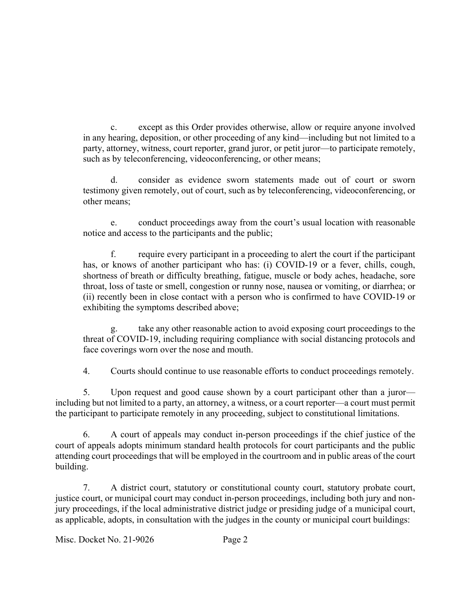c. except as this Order provides otherwise, allow or require anyone involved in any hearing, deposition, or other proceeding of any kind—including but not limited to a party, attorney, witness, court reporter, grand juror, or petit juror—to participate remotely, such as by teleconferencing, videoconferencing, or other means;

d. consider as evidence sworn statements made out of court or sworn testimony given remotely, out of court, such as by teleconferencing, videoconferencing, or other means;

e. conduct proceedings away from the court's usual location with reasonable notice and access to the participants and the public;

f. require every participant in a proceeding to alert the court if the participant has, or knows of another participant who has: (i) COVID-19 or a fever, chills, cough, shortness of breath or difficulty breathing, fatigue, muscle or body aches, headache, sore throat, loss of taste or smell, congestion or runny nose, nausea or vomiting, or diarrhea; or (ii) recently been in close contact with a person who is confirmed to have COVID-19 or exhibiting the symptoms described above;

g. take any other reasonable action to avoid exposing court proceedings to the threat of COVID-19, including requiring compliance with social distancing protocols and face coverings worn over the nose and mouth.

4. Courts should continue to use reasonable efforts to conduct proceedings remotely.

5. Upon request and good cause shown by a court participant other than a juror including but not limited to a party, an attorney, a witness, or a court reporter—a court must permit the participant to participate remotely in any proceeding, subject to constitutional limitations.

6. A court of appeals may conduct in-person proceedings if the chief justice of the court of appeals adopts minimum standard health protocols for court participants and the public attending court proceedings that will be employed in the courtroom and in public areas of the court building.

7. A district court, statutory or constitutional county court, statutory probate court, justice court, or municipal court may conduct in-person proceedings, including both jury and nonjury proceedings, if the local administrative district judge or presiding judge of a municipal court, as applicable, adopts, in consultation with the judges in the county or municipal court buildings: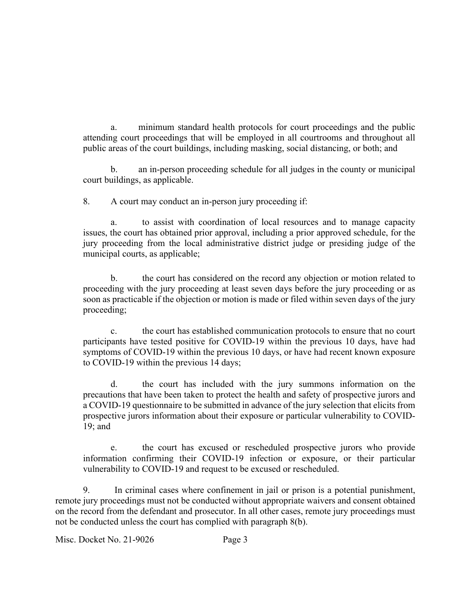a. minimum standard health protocols for court proceedings and the public attending court proceedings that will be employed in all courtrooms and throughout all public areas of the court buildings, including masking, social distancing, or both; and

b. an in-person proceeding schedule for all judges in the county or municipal court buildings, as applicable.

8. A court may conduct an in-person jury proceeding if:

to assist with coordination of local resources and to manage capacity issues, the court has obtained prior approval, including a prior approved schedule, for the jury proceeding from the local administrative district judge or presiding judge of the municipal courts, as applicable;

b. the court has considered on the record any objection or motion related to proceeding with the jury proceeding at least seven days before the jury proceeding or as soon as practicable if the objection or motion is made or filed within seven days of the jury proceeding;

c. the court has established communication protocols to ensure that no court participants have tested positive for COVID-19 within the previous 10 days, have had symptoms of COVID-19 within the previous 10 days, or have had recent known exposure to COVID-19 within the previous 14 days;

d. the court has included with the jury summons information on the precautions that have been taken to protect the health and safety of prospective jurors and a COVID-19 questionnaire to be submitted in advance of the jury selection that elicits from prospective jurors information about their exposure or particular vulnerability to COVID-19; and

e. the court has excused or rescheduled prospective jurors who provide information confirming their COVID-19 infection or exposure, or their particular vulnerability to COVID-19 and request to be excused or rescheduled.

9. In criminal cases where confinement in jail or prison is a potential punishment, remote jury proceedings must not be conducted without appropriate waivers and consent obtained on the record from the defendant and prosecutor. In all other cases, remote jury proceedings must not be conducted unless the court has complied with paragraph 8(b).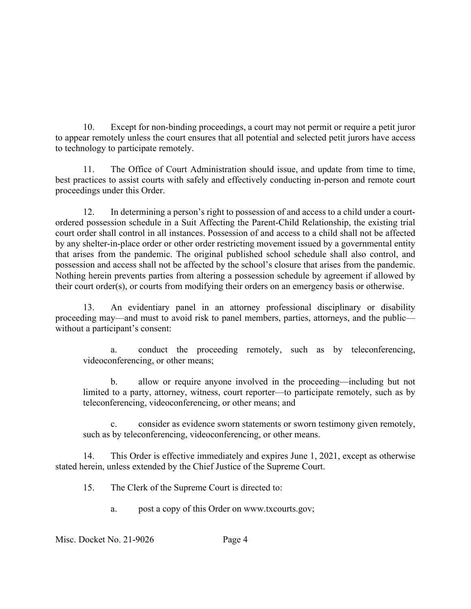10. Except for non-binding proceedings, a court may not permit or require a petit juror to appear remotely unless the court ensures that all potential and selected petit jurors have access to technology to participate remotely.

11. The Office of Court Administration should issue, and update from time to time, best practices to assist courts with safely and effectively conducting in-person and remote court proceedings under this Order.

12. In determining a person's right to possession of and access to a child under a courtordered possession schedule in a Suit Affecting the Parent-Child Relationship, the existing trial court order shall control in all instances. Possession of and access to a child shall not be affected by any shelter-in-place order or other order restricting movement issued by a governmental entity that arises from the pandemic. The original published school schedule shall also control, and possession and access shall not be affected by the school's closure that arises from the pandemic. Nothing herein prevents parties from altering a possession schedule by agreement if allowed by their court order(s), or courts from modifying their orders on an emergency basis or otherwise.

13. An evidentiary panel in an attorney professional disciplinary or disability proceeding may—and must to avoid risk to panel members, parties, attorneys, and the public without a participant's consent:

a. conduct the proceeding remotely, such as by teleconferencing, videoconferencing, or other means;

b. allow or require anyone involved in the proceeding—including but not limited to a party, attorney, witness, court reporter—to participate remotely, such as by teleconferencing, videoconferencing, or other means; and

c. consider as evidence sworn statements or sworn testimony given remotely, such as by teleconferencing, videoconferencing, or other means.

14. This Order is effective immediately and expires June 1, 2021, except as otherwise stated herein, unless extended by the Chief Justice of the Supreme Court.

15. The Clerk of the Supreme Court is directed to:

a. post a copy of this Order on www.txcourts.gov;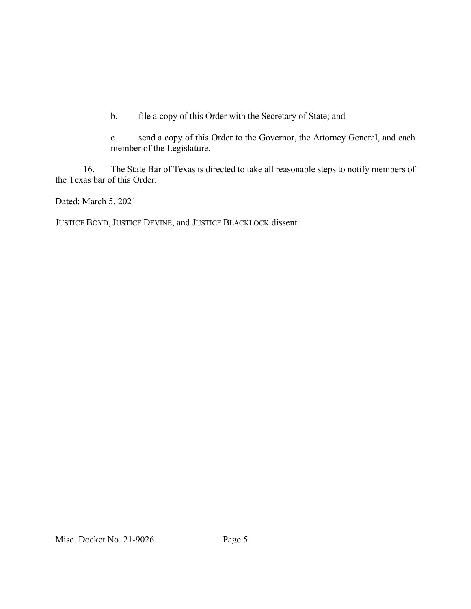b. file a copy of this Order with the Secretary of State; and

c. send a copy of this Order to the Governor, the Attorney General, and each member of the Legislature.

16. The State Bar of Texas is directed to take all reasonable steps to notify members of the Texas bar of this Order.

Dated: March 5, 2021

JUSTICE BOYD, JUSTICE DEVINE, and JUSTICE BLACKLOCK dissent.